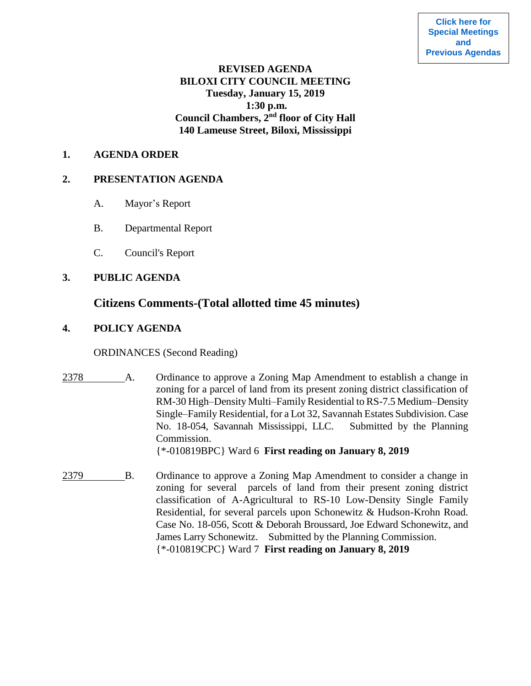## **REVISED AGENDA BILOXI CITY COUNCIL MEETING Tuesday, January 15, 2019 1:30 p.m. Council Chambers, 2nd floor of City Hall 140 Lameuse Street, Biloxi, Mississippi**

#### **1. AGENDA ORDER**

### **2. PRESENTATION AGENDA**

- A. Mayor's Report
- B. Departmental Report
- C. Council's Report

## **3. PUBLIC AGENDA**

# **Citizens Comments-(Total allotted time 45 minutes)**

## **4. POLICY AGENDA**

### ORDINANCES (Second Reading)

2378 A. Ordinance to approve a Zoning Map Amendment to establish a change in zoning for a parcel of land from its present zoning district classification of RM-30 High–Density Multi–Family Residential to RS-7.5 Medium–Density Single–Family Residential, for a Lot 32, Savannah Estates Subdivision. Case No. 18-054, Savannah Mississippi, LLC. Submitted by the Planning Commission.

{\*-010819BPC} Ward 6 **First reading on January 8, 2019**

2379 B. Ordinance to approve a Zoning Map Amendment to consider a change in zoning for several parcels of land from their present zoning district classification of A-Agricultural to RS-10 Low-Density Single Family Residential, for several parcels upon Schonewitz & Hudson-Krohn Road. Case No. 18-056, Scott & Deborah Broussard, Joe Edward Schonewitz, and James Larry Schonewitz. Submitted by the Planning Commission. {\*-010819CPC} Ward 7 **First reading on January 8, 2019**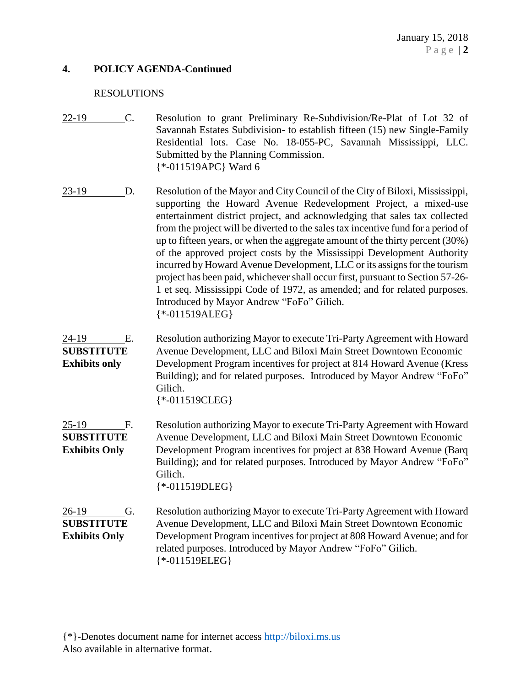### **4. POLICY AGENDA-Continued**

#### RESOLUTIONS

- 22-19 C. Resolution to grant Preliminary Re-Subdivision/Re-Plat of Lot 32 of Savannah Estates Subdivision- to establish fifteen (15) new Single-Family Residential lots. Case No. 18-055-PC, Savannah Mississippi, LLC. Submitted by the Planning Commission. {\*-011519APC} Ward 6
- 23-19 D. Resolution of the Mayor and City Council of the City of Biloxi, Mississippi, supporting the Howard Avenue Redevelopment Project, a mixed-use entertainment district project, and acknowledging that sales tax collected from the project will be diverted to the sales tax incentive fund for a period of up to fifteen years, or when the aggregate amount of the thirty percent (30%) of the approved project costs by the Mississippi Development Authority incurred by Howard Avenue Development, LLC or its assigns for the tourism project has been paid, whichever shall occur first, pursuant to Section 57-26- 1 et seq. Mississippi Code of 1972, as amended; and for related purposes. Introduced by Mayor Andrew "FoFo" Gilich. {\*-011519ALEG}
- 24-19 E. Resolution authorizing Mayor to execute Tri-Party Agreement with Howard **SUBSTITUTE** Avenue Development, LLC and Biloxi Main Street Downtown Economic **Exhibits only** Development Program incentives for project at 814 Howard Avenue (Kress Building); and for related purposes. Introduced by Mayor Andrew "FoFo" Gilich. {\*-011519CLEG}
- 25-19 F. Resolution authorizing Mayor to execute Tri-Party Agreement with Howard **SUBSTITUTE** Avenue Development, LLC and Biloxi Main Street Downtown Economic **Exhibits Only** Development Program incentives for project at 838 Howard Avenue (Barq Building); and for related purposes. Introduced by Mayor Andrew "FoFo" Gilich. {\*-011519DLEG}

26-19 G. Resolution authorizing Mayor to execute Tri-Party Agreement with Howard **SUBSTITUTE** Avenue Development, LLC and Biloxi Main Street Downtown Economic **Exhibits Only** Development Program incentives for project at 808 Howard Avenue; and for related purposes. Introduced by Mayor Andrew "FoFo" Gilich. {\*-011519ELEG}

{\*}-Denotes document name for internet access [http://biloxi.ms.us](http://biloxi.ms.us/) Also available in alternative format.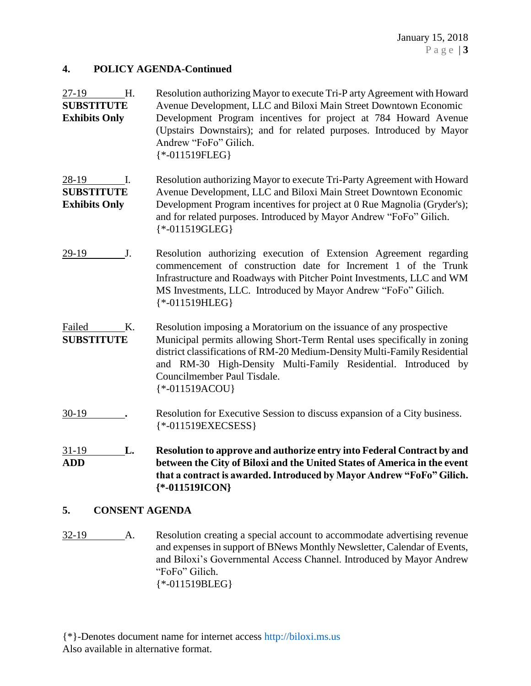### **4. POLICY AGENDA-Continued**

| 27-19                                              | Н. | Resolution authorizing Mayor to execute Tri-P arty Agreement with Howard                                                                                                                                                                                                                                                                            |
|----------------------------------------------------|----|-----------------------------------------------------------------------------------------------------------------------------------------------------------------------------------------------------------------------------------------------------------------------------------------------------------------------------------------------------|
| <b>SUBSTITUTE</b><br><b>Exhibits Only</b>          |    | Avenue Development, LLC and Biloxi Main Street Downtown Economic<br>Development Program incentives for project at 784 Howard Avenue<br>(Upstairs Downstairs); and for related purposes. Introduced by Mayor<br>Andrew "FoFo" Gilich.<br>$\$ *-011519FLEG}                                                                                           |
| 28-19<br><b>SUBSTITUTE</b><br><b>Exhibits Only</b> | I. | Resolution authorizing Mayor to execute Tri-Party Agreement with Howard<br>Avenue Development, LLC and Biloxi Main Street Downtown Economic<br>Development Program incentives for project at 0 Rue Magnolia (Gryder's);<br>and for related purposes. Introduced by Mayor Andrew "FoFo" Gilich.<br>$\{*.011519GLEG\}$                                |
| 29-19                                              | J. | Resolution authorizing execution of Extension Agreement regarding<br>commencement of construction date for Increment 1 of the Trunk<br>Infrastructure and Roadways with Pitcher Point Investments, LLC and WM<br>MS Investments, LLC. Introduced by Mayor Andrew "FoFo" Gilich.<br>$\$ *-011519HLEG\}                                               |
| Failed<br><b>SUBSTITUTE</b>                        | Κ. | Resolution imposing a Moratorium on the issuance of any prospective<br>Municipal permits allowing Short-Term Rental uses specifically in zoning<br>district classifications of RM-20 Medium-Density Multi-Family Residential<br>and RM-30 High-Density Multi-Family Residential. Introduced by<br>Councilmember Paul Tisdale.<br>$\{*.011519ACOU\}$ |
| $30-19$                                            |    | Resolution for Executive Session to discuss expansion of a City business.<br>{*-011519EXECSESS}                                                                                                                                                                                                                                                     |
| 31-19<br><b>ADD</b>                                | L. | Resolution to approve and authorize entry into Federal Contract by and<br>between the City of Biloxi and the United States of America in the event<br>that a contract is awarded. Introduced by Mayor Andrew "FoFo" Gilich.<br>$\{*.011519ICON\}$                                                                                                   |
| 5.                                                 |    | <b>CONSENT AGENDA</b>                                                                                                                                                                                                                                                                                                                               |

32-19 A. Resolution creating a special account to accommodate advertising revenue and expenses in support of BNews Monthly Newsletter, Calendar of Events, and Biloxi's Governmental Access Channel. Introduced by Mayor Andrew "FoFo" Gilich. {\*-011519BLEG}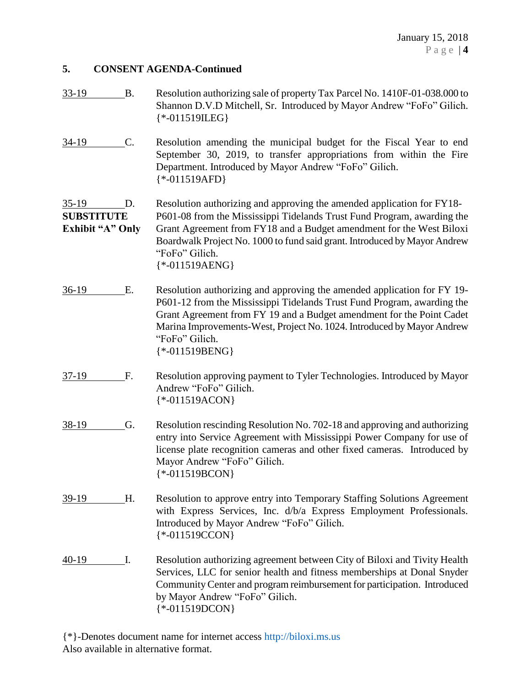# **5. CONSENT AGENDA-Continued**

| 33-19                                                   | <b>B.</b> | Resolution authorizing sale of property Tax Parcel No. 1410F-01-038.000 to<br>Shannon D.V.D Mitchell, Sr. Introduced by Mayor Andrew "FoFo" Gilich.<br>$\$ *-011519\text{LEG}                                                                                                                                                                |
|---------------------------------------------------------|-----------|----------------------------------------------------------------------------------------------------------------------------------------------------------------------------------------------------------------------------------------------------------------------------------------------------------------------------------------------|
| $34-19$                                                 | C.        | Resolution amending the municipal budget for the Fiscal Year to end<br>September 30, 2019, to transfer appropriations from within the Fire<br>Department. Introduced by Mayor Andrew "FoFo" Gilich.<br>$\{*.011519AFD\}$                                                                                                                     |
| $35-19$<br><b>SUBSTITUTE</b><br><b>Exhibit "A" Only</b> | D.        | Resolution authorizing and approving the amended application for FY18-<br>P601-08 from the Mississippi Tidelands Trust Fund Program, awarding the<br>Grant Agreement from FY18 and a Budget amendment for the West Biloxi<br>Boardwalk Project No. 1000 to fund said grant. Introduced by Mayor Andrew<br>"FoFo" Gilich.<br>${*.011519AENG}$ |
| $36-19$                                                 | Ε.        | Resolution authorizing and approving the amended application for FY 19-<br>P601-12 from the Mississippi Tidelands Trust Fund Program, awarding the<br>Grant Agreement from FY 19 and a Budget amendment for the Point Cadet<br>Marina Improvements-West, Project No. 1024. Introduced by Mayor Andrew<br>"FoFo" Gilich.<br>$*$ -011519BENG}  |
| $37-19$                                                 | F.        | Resolution approving payment to Tyler Technologies. Introduced by Mayor<br>Andrew "FoFo" Gilich.<br>${*.011519ACON}$                                                                                                                                                                                                                         |
| 38-19                                                   | G.        | Resolution rescinding Resolution No. 702-18 and approving and authorizing<br>entry into Service Agreement with Mississippi Power Company for use of<br>license plate recognition cameras and other fixed cameras. Introduced by<br>Mayor Andrew "FoFo" Gilich.<br>$* -011519BCON$                                                            |
| 39-19                                                   | H.        | Resolution to approve entry into Temporary Staffing Solutions Agreement<br>with Express Services, Inc. d/b/a Express Employment Professionals.<br>Introduced by Mayor Andrew "FoFo" Gilich.<br>$*$ -011519CCON}                                                                                                                              |
| $40-19$                                                 | Ι.        | Resolution authorizing agreement between City of Biloxi and Tivity Health<br>Services, LLC for senior health and fitness memberships at Donal Snyder<br>Community Center and program reimbursement for participation. Introduced<br>by Mayor Andrew "FoFo" Gilich.<br>$*$ -011519DCON}                                                       |

{\*}-Denotes document name for internet access [http://biloxi.ms.us](http://biloxi.ms.us/) Also available in alternative format.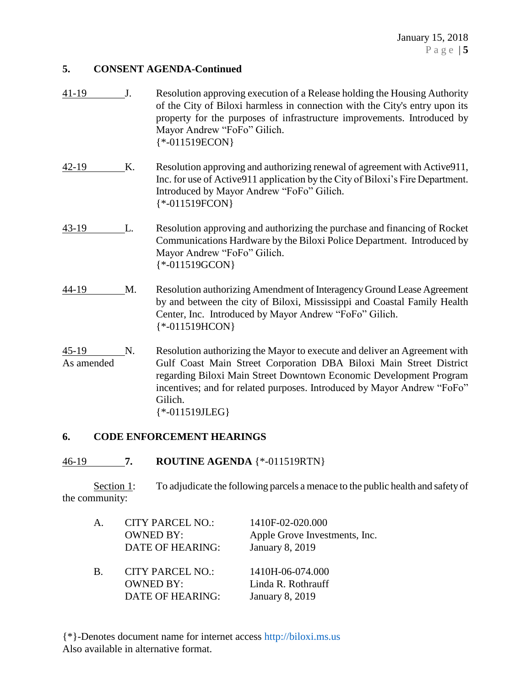## **5. CONSENT AGENDA-Continued**

| $41-19$               | J. | Resolution approving execution of a Release holding the Housing Authority<br>of the City of Biloxi harmless in connection with the City's entry upon its<br>property for the purposes of infrastructure improvements. Introduced by<br>Mayor Andrew "FoFo" Gilich.<br>$* -011519ECON$                                             |
|-----------------------|----|-----------------------------------------------------------------------------------------------------------------------------------------------------------------------------------------------------------------------------------------------------------------------------------------------------------------------------------|
| 42-19                 | Κ. | Resolution approving and authorizing renewal of agreement with Active911,<br>Inc. for use of Active 911 application by the City of Biloxi's Fire Department.<br>Introduced by Mayor Andrew "FoFo" Gilich.<br>$\{*.011519FCON\}$                                                                                                   |
| $43-19$               | L. | Resolution approving and authorizing the purchase and financing of Rocket<br>Communications Hardware by the Biloxi Police Department. Introduced by<br>Mayor Andrew "FoFo" Gilich.<br>$*$ -011519GCON}                                                                                                                            |
| 44-19                 | M. | Resolution authorizing Amendment of Interagency Ground Lease Agreement<br>by and between the city of Biloxi, Mississippi and Coastal Family Health<br>Center, Inc. Introduced by Mayor Andrew "FoFo" Gilich.<br>$\$ *-011519HCON\}                                                                                                |
| $45-19$<br>As amended | N. | Resolution authorizing the Mayor to execute and deliver an Agreement with<br>Gulf Coast Main Street Corporation DBA Biloxi Main Street District<br>regarding Biloxi Main Street Downtown Economic Development Program<br>incentives; and for related purposes. Introduced by Mayor Andrew "FoFo"<br>Gilich.<br>$\{*.011519JLEG\}$ |

# **6. CODE ENFORCEMENT HEARINGS**

## 46-19 **7. ROUTINE AGENDA** {\*-011519RTN}

Section 1: To adjudicate the following parcels a menace to the public health and safety of the community:

| $\mathsf{A}$ . | <b>CITY PARCEL NO.:</b><br><b>OWNED BY:</b><br>DATE OF HEARING: | 1410F-02-020.000<br>Apple Grove Investments, Inc.<br><b>January 8, 2019</b> |
|----------------|-----------------------------------------------------------------|-----------------------------------------------------------------------------|
| B.             | <b>CITY PARCEL NO.:</b><br><b>OWNED BY:</b><br>DATE OF HEARING: | 1410H-06-074.000<br>Linda R. Rothrauff<br><b>January 8, 2019</b>            |

{\*}-Denotes document name for internet access [http://biloxi.ms.us](http://biloxi.ms.us/) Also available in alternative format.